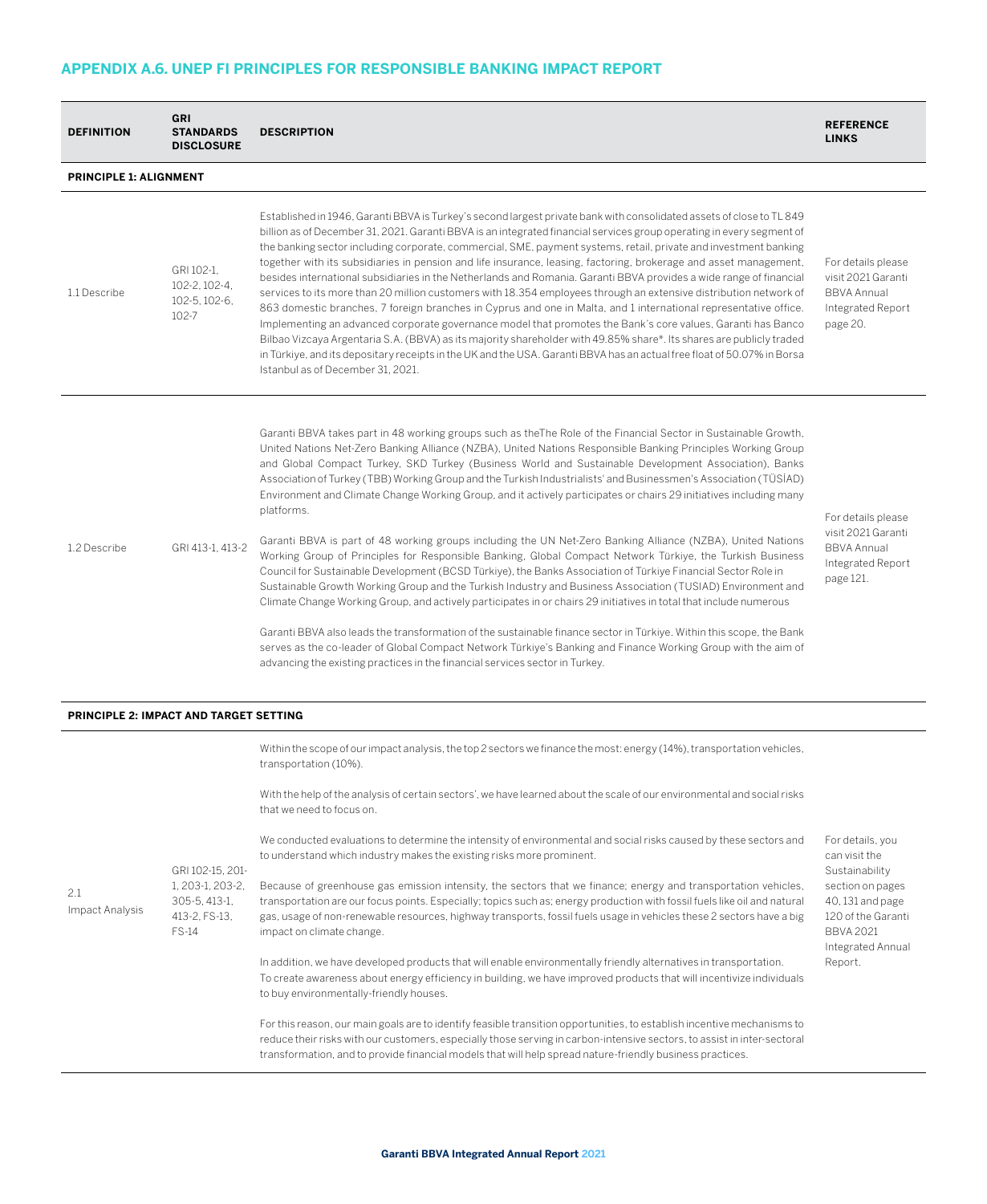## **APPENDIX A.6. UNEP FI PRINCIPLES FOR RESPONSIBLE BANKING IMPACT REPORT**

| <b>DEFINITION</b>                             | <b>GRI</b><br><b>STANDARDS</b><br><b>DISCLOSURE</b>                                    | <b>DESCRIPTION</b>                                                                                                                                                                                                                                                                                                                                                                                                                                                                                                                                                                                                                                                                                                                                                                                                                                                                                                                                                                                                                                                                                                                                                                                                                                                                                                                                                                                                                                                                                                                                                     | <b>REFERENCE</b><br><b>LINKS</b>                                                                                                                                      |  |  |  |  |
|-----------------------------------------------|----------------------------------------------------------------------------------------|------------------------------------------------------------------------------------------------------------------------------------------------------------------------------------------------------------------------------------------------------------------------------------------------------------------------------------------------------------------------------------------------------------------------------------------------------------------------------------------------------------------------------------------------------------------------------------------------------------------------------------------------------------------------------------------------------------------------------------------------------------------------------------------------------------------------------------------------------------------------------------------------------------------------------------------------------------------------------------------------------------------------------------------------------------------------------------------------------------------------------------------------------------------------------------------------------------------------------------------------------------------------------------------------------------------------------------------------------------------------------------------------------------------------------------------------------------------------------------------------------------------------------------------------------------------------|-----------------------------------------------------------------------------------------------------------------------------------------------------------------------|--|--|--|--|
| PRINCIPLE 1: ALIGNMENT                        |                                                                                        |                                                                                                                                                                                                                                                                                                                                                                                                                                                                                                                                                                                                                                                                                                                                                                                                                                                                                                                                                                                                                                                                                                                                                                                                                                                                                                                                                                                                                                                                                                                                                                        |                                                                                                                                                                       |  |  |  |  |
| 1.1 Describe                                  | GRI 102-1.<br>102-2, 102-4,<br>102-5, 102-6,<br>102-7                                  | Established in 1946, Garanti BBVA is Turkey's second largest private bank with consolidated assets of close to TL 849<br>billion as of December 31, 2021. Garanti BBVA is an integrated financial services group operating in every segment of<br>the banking sector including corporate, commercial, SME, payment systems, retail, private and investment banking<br>together with its subsidiaries in pension and life insurance, leasing, factoring, brokerage and asset management,<br>besides international subsidiaries in the Netherlands and Romania. Garanti BBVA provides a wide range of financial<br>services to its more than 20 million customers with 18.354 employees through an extensive distribution network of<br>863 domestic branches, 7 foreign branches in Cyprus and one in Malta, and 1 international representative office.<br>Implementing an advanced corporate governance model that promotes the Bank's core values, Garanti has Banco<br>Bilbao Vizcaya Argentaria S.A. (BBVA) as its majority shareholder with 49.85% share*. Its shares are publicly traded<br>in Türkiye, and its depositary receipts in the UK and the USA. Garanti BBVA has an actual free float of 50.07% in Borsa<br>Istanbul as of December 31, 2021.                                                                                                                                                                                                                                                                                                          | For details please<br>visit 2021 Garanti<br><b>BBVA Annual</b><br>Integrated Report<br>page 20.                                                                       |  |  |  |  |
| 1.2 Describe                                  | GRI 413-1, 413-2                                                                       | Garanti BBVA takes part in 48 working groups such as the The Role of the Financial Sector in Sustainable Growth,<br>United Nations Net-Zero Banking Alliance (NZBA), United Nations Responsible Banking Principles Working Group<br>and Global Compact Turkey, SKD Turkey (Business World and Sustainable Development Association), Banks<br>Association of Turkey (TBB) Working Group and the Turkish Industrialists' and Businessmen's Association (TÜSİAD)<br>Environment and Climate Change Working Group, and it actively participates or chairs 29 initiatives including many<br>platforms.<br>Garanti BBVA is part of 48 working groups including the UN Net-Zero Banking Alliance (NZBA), United Nations<br>Working Group of Principles for Responsible Banking, Global Compact Network Türkiye, the Turkish Business<br>Council for Sustainable Development (BCSD Türkiye), the Banks Association of Türkiye Financial Sector Role in<br>Sustainable Growth Working Group and the Turkish Industry and Business Association (TUSIAD) Environment and<br>Climate Change Working Group, and actively participates in or chairs 29 initiatives in total that include numerous<br>Garanti BBVA also leads the transformation of the sustainable finance sector in Türkiye. Within this scope, the Bank<br>serves as the co-leader of Global Compact Network Türkiye's Banking and Finance Working Group with the aim of<br>advancing the existing practices in the financial services sector in Turkey.                                                           | For details please<br>visit 2021 Garanti<br><b>BBVA Annual</b><br>Integrated Report<br>page 121.                                                                      |  |  |  |  |
| <b>PRINCIPLE 2: IMPACT AND TARGET SETTING</b> |                                                                                        |                                                                                                                                                                                                                                                                                                                                                                                                                                                                                                                                                                                                                                                                                                                                                                                                                                                                                                                                                                                                                                                                                                                                                                                                                                                                                                                                                                                                                                                                                                                                                                        |                                                                                                                                                                       |  |  |  |  |
| 2.1<br>Impact Analysis                        | GRI 102-15, 201-<br>1, 203-1, 203-2,<br>305-5, 413-1,<br>413-2, FS-13,<br><b>FS-14</b> | Within the scope of our impact analysis, the top 2 sectors we finance the most: energy (14%), transportation vehicles,<br>transportation (10%).<br>With the help of the analysis of certain sectors', we have learned about the scale of our environmental and social risks<br>that we need to focus on.<br>We conducted evaluations to determine the intensity of environmental and social risks caused by these sectors and<br>to understand which industry makes the existing risks more prominent.<br>Because of greenhouse gas emission intensity, the sectors that we finance; energy and transportation vehicles,<br>transportation are our focus points. Especially; topics such as; energy production with fossil fuels like oil and natural<br>gas, usage of non-renewable resources, highway transports, fossil fuels usage in vehicles these 2 sectors have a big<br>impact on climate change.<br>In addition, we have developed products that will enable environmentally friendly alternatives in transportation.<br>To create awareness about energy efficiency in building, we have improved products that will incentivize individuals<br>to buy environmentally-friendly houses.<br>For this reason, our main goals are to identify feasible transition opportunities, to establish incentive mechanisms to<br>reduce their risks with our customers, especially those serving in carbon-intensive sectors, to assist in inter-sectoral<br>transformation, and to provide financial models that will help spread nature-friendly business practices. | For details, you<br>can visit the<br>Sustainability<br>section on pages<br>40, 131 and page<br>120 of the Garanti<br><b>BBVA 2021</b><br>Integrated Annual<br>Report. |  |  |  |  |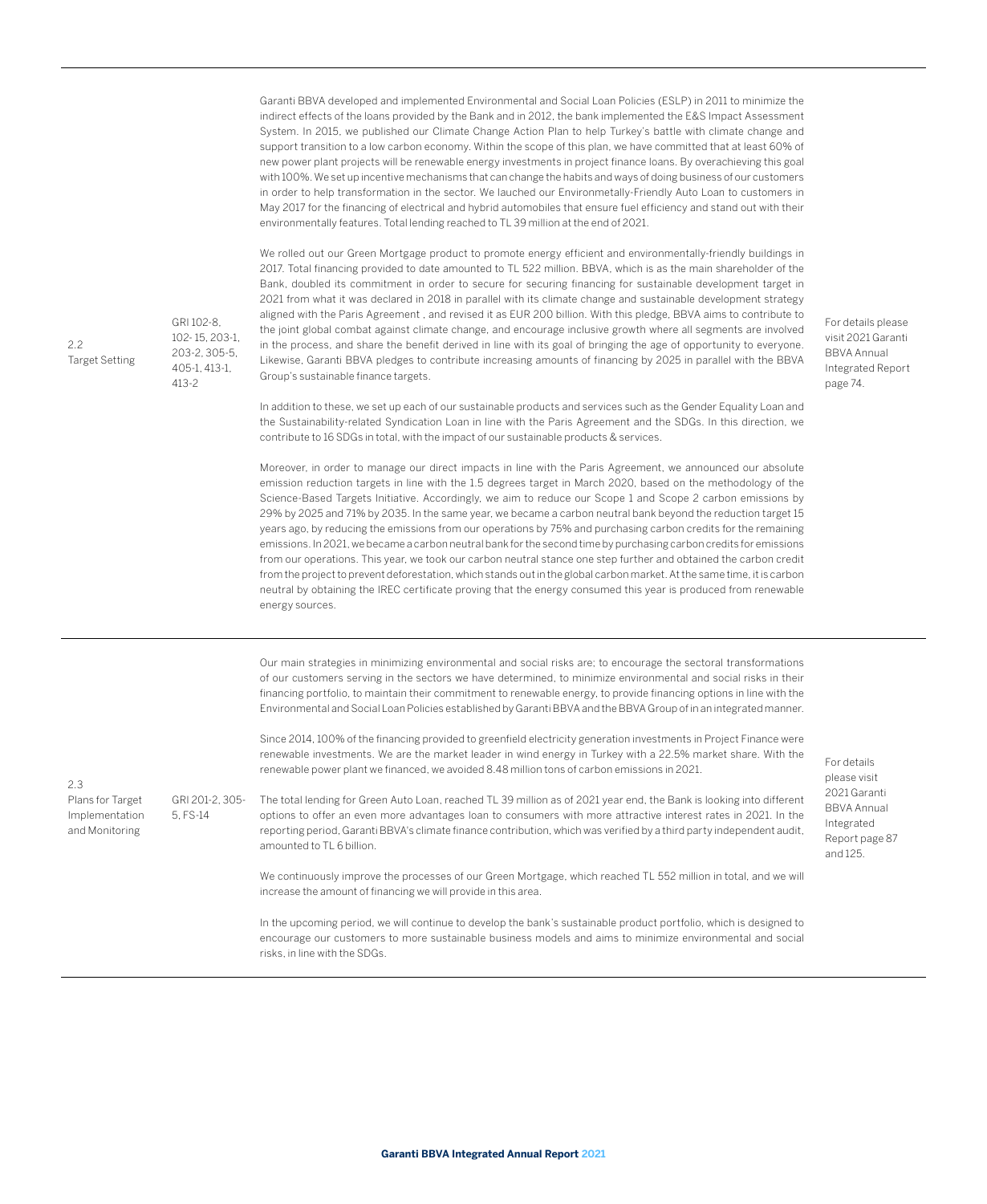Garanti BBVA developed and implemented Environmental and Social Loan Policies (ESLP) in 2011 to minimize the indirect effects of the loans provided by the Bank and in 2012, the bank implemented the E&S Impact Assessment System. In 2015, we published our Climate Change Action Plan to help Turkey's battle with climate change and support transition to a low carbon economy. Within the scope of this plan, we have committed that at least 60% of new power plant projects will be renewable energy investments in project finance loans. By overachieving this goal with 100%. We set up incentive mechanisms that can change the habits and ways of doing business of our customers in order to help transformation in the sector. We lauched our Environmetally-Friendly Auto Loan to customers in May 2017 for the financing of electrical and hybrid automobiles that ensure fuel efficiency and stand out with their environmentally features. Total lending reached to TL 39 million at the end of 2021.

We rolled out our Green Mortgage product to promote energy efficient and environmentally-friendly buildings in 2017. Total financing provided to date amounted to TL 522 million. BBVA, which is as the main shareholder of the Bank, doubled its commitment in order to secure for securing financing for sustainable development target in 2021 from what it was declared in 2018 in parallel with its climate change and sustainable development strategy aligned with the Paris Agreement , and revised it as EUR 200 billion. With this pledge, BBVA aims to contribute to the joint global combat against climate change, and encourage inclusive growth where all segments are involved in the process, and share the benefit derived in line with its goal of bringing the age of opportunity to everyone. Likewise, Garanti BBVA pledges to contribute increasing amounts of financing by 2025 in parallel with the BBVA Group's sustainable finance targets.

For details please visit 2021 Garanti BBVA Annual Integrated Report page 74.

In addition to these, we set up each of our sustainable products and services such as the Gender Equality Loan and the Sustainability-related Syndication Loan in line with the Paris Agreement and the SDGs. In this direction, we contribute to 16 SDGs in total, with the impact of our sustainable products & services.

Moreover, in order to manage our direct impacts in line with the Paris Agreement, we announced our absolute emission reduction targets in line with the 1.5 degrees target in March 2020, based on the methodology of the Science-Based Targets Initiative. Accordingly, we aim to reduce our Scope 1 and Scope 2 carbon emissions by 29% by 2025 and 71% by 2035. In the same year, we became a carbon neutral bank beyond the reduction target 15 years ago, by reducing the emissions from our operations by 75% and purchasing carbon credits for the remaining emissions. In 2021, we became a carbon neutral bank for the second time by purchasing carbon credits for emissions from our operations. This year, we took our carbon neutral stance one step further and obtained the carbon credit from the project to prevent deforestation, which stands out in the global carbon market. At the same time, it is carbon neutral by obtaining the IREC certificate proving that the energy consumed this year is produced from renewable energy sources.

Our main strategies in minimizing environmental and social risks are; to encourage the sectoral transformations of our customers serving in the sectors we have determined, to minimize environmental and social risks in their financing portfolio, to maintain their commitment to renewable energy, to provide financing options in line with the Environmental and Social Loan Policies established by Garanti BBVA and the BBVA Group of in an integrated manner. Since 2014, 100% of the financing provided to greenfield electricity generation investments in Project Finance were

renewable investments. We are the market leader in wind energy in Turkey with a 22.5% market share. With the renewable power plant we financed, we avoided 8.48 million tons of carbon emissions in 2021.

GRI 201-2, 305- 5, FS-14 The total lending for Green Auto Loan, reached TL 39 million as of 2021 year end, the Bank is looking into different options to offer an even more advantages loan to consumers with more attractive interest rates in 2021. In the reporting period, Garanti BBVA's climate finance contribution, which was verified by a third party independent audit, amounted to TL 6 billion.

For details please visit 2021 Garanti BBVA Annual Integrated Report page 87 and 125.

We continuously improve the processes of our Green Mortgage, which reached TL 552 million in total, and we will increase the amount of financing we will provide in this area.

In the upcoming period, we will continue to develop the bank's sustainable product portfolio, which is designed to encourage our customers to more sustainable business models and aims to minimize environmental and social risks, in line with the SDGs.

2.3

Plans for Target Implementation and Monitoring

GRI 102-8, 102- 15, 203-1, 203-2, 305-5,

405-1, 413-1, 413-2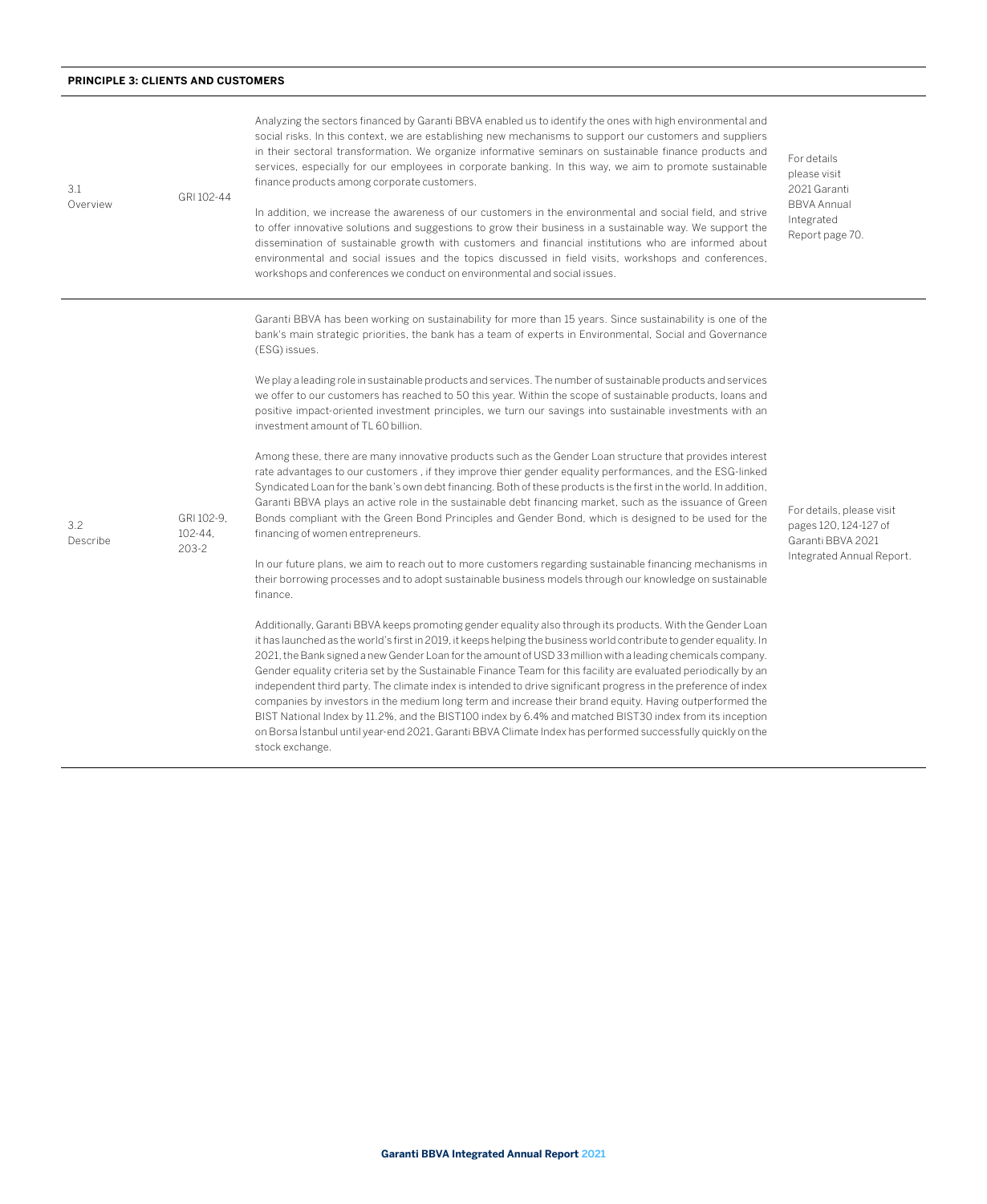## **PRINCIPLE 3: CLIENTS AND CUSTOMERS**

| 3.1<br>Overview | GRI 102-44                         | Analyzing the sectors financed by Garanti BBVA enabled us to identify the ones with high environmental and<br>social risks. In this context, we are establishing new mechanisms to support our customers and suppliers<br>in their sectoral transformation. We organize informative seminars on sustainable finance products and<br>services, especially for our employees in corporate banking. In this way, we aim to promote sustainable<br>finance products among corporate customers.<br>In addition, we increase the awareness of our customers in the environmental and social field, and strive<br>to offer innovative solutions and suggestions to grow their business in a sustainable way. We support the<br>dissemination of sustainable growth with customers and financial institutions who are informed about<br>environmental and social issues and the topics discussed in field visits, workshops and conferences,<br>workshops and conferences we conduct on environmental and social issues. | For details<br>please visit<br>2021 Garanti<br><b>BBVA Annual</b><br>Integrated<br>Report page 70.  |
|-----------------|------------------------------------|------------------------------------------------------------------------------------------------------------------------------------------------------------------------------------------------------------------------------------------------------------------------------------------------------------------------------------------------------------------------------------------------------------------------------------------------------------------------------------------------------------------------------------------------------------------------------------------------------------------------------------------------------------------------------------------------------------------------------------------------------------------------------------------------------------------------------------------------------------------------------------------------------------------------------------------------------------------------------------------------------------------|-----------------------------------------------------------------------------------------------------|
| 3.2<br>Describe | GRI 102-9.<br>102-44.<br>$203 - 2$ | Garanti BBVA has been working on sustainability for more than 15 years. Since sustainability is one of the<br>bank's main strategic priorities, the bank has a team of experts in Environmental, Social and Governance<br>(ESG) issues.                                                                                                                                                                                                                                                                                                                                                                                                                                                                                                                                                                                                                                                                                                                                                                          | For details, please visit<br>pages 120, 124-127 of<br>Garanti BBVA 2021<br>Integrated Annual Report |
|                 |                                    | We play a leading role in sustainable products and services. The number of sustainable products and services<br>we offer to our customers has reached to 50 this year. Within the scope of sustainable products, loans and<br>positive impact-oriented investment principles, we turn our savings into sustainable investments with an<br>investment amount of TL 60 billion.                                                                                                                                                                                                                                                                                                                                                                                                                                                                                                                                                                                                                                    |                                                                                                     |
|                 |                                    | Among these, there are many innovative products such as the Gender Loan structure that provides interest<br>rate advantages to our customers, if they improve thier gender equality performances, and the ESG-linked<br>Syndicated Loan for the bank's own debt financing. Both of these products is the first in the world. In addition,<br>Garanti BBVA plays an active role in the sustainable debt financing market, such as the issuance of Green<br>Bonds compliant with the Green Bond Principles and Gender Bond, which is designed to be used for the<br>financing of women entrepreneurs.                                                                                                                                                                                                                                                                                                                                                                                                              |                                                                                                     |
|                 |                                    | In our future plans, we aim to reach out to more customers regarding sustainable financing mechanisms in<br>their borrowing processes and to adopt sustainable business models through our knowledge on sustainable<br>finance.                                                                                                                                                                                                                                                                                                                                                                                                                                                                                                                                                                                                                                                                                                                                                                                  |                                                                                                     |
|                 |                                    | Additionally, Garanti BBVA keeps promoting gender equality also through its products. With the Gender Loan<br>it has launched as the world's first in 2019, it keeps helping the business world contribute to gender equality. In<br>2021, the Bank signed a new Gender Loan for the amount of USD 33 million with a leading chemicals company.<br>Gender equality criteria set by the Sustainable Finance Team for this facility are evaluated periodically by an<br>independent third party. The climate index is intended to drive significant progress in the preference of index<br>companies by investors in the medium long term and increase their brand equity. Having outperformed the<br>BIST National Index by 11.2%, and the BIST100 index by 6.4% and matched BIST30 index from its inception<br>on Borsa İstanbul until year-end 2021, Garanti BBVA Climate Index has performed successfully quickly on the<br>stock exchange.                                                                    |                                                                                                     |